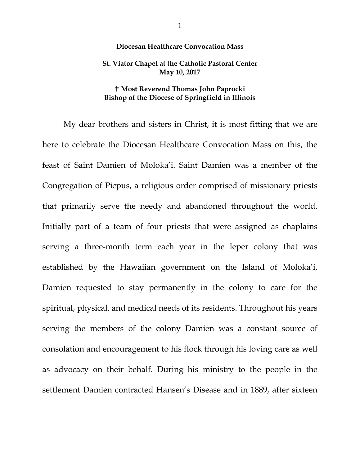## **Diocesan Healthcare Convocation Mass**

## **St. Viator Chapel at the Catholic Pastoral Center May 10, 2017**

## **Most Reverend Thomas John Paprocki Bishop of the Diocese of Springfield in Illinois**

My dear brothers and sisters in Christ, it is most fitting that we are here to celebrate the Diocesan Healthcare Convocation Mass on this, the feast of Saint Damien of Moloka'i. Saint Damien was a member of the Congregation of Picpus, a religious order comprised of missionary priests that primarily serve the needy and abandoned throughout the world. Initially part of a team of four priests that were assigned as chaplains serving a three-month term each year in the leper colony that was established by the Hawaiian government on the Island of Moloka'i, Damien requested to stay permanently in the colony to care for the spiritual, physical, and medical needs of its residents. Throughout his years serving the members of the colony Damien was a constant source of consolation and encouragement to his flock through his loving care as well as advocacy on their behalf. During his ministry to the people in the settlement Damien contracted Hansen's Disease and in 1889, after sixteen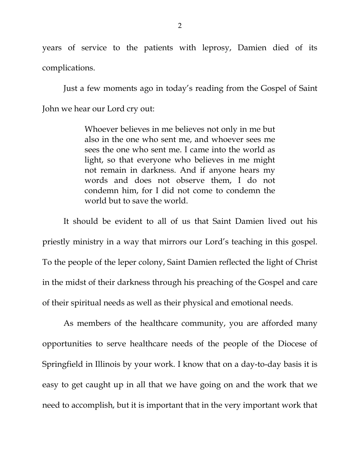years of service to the patients with leprosy, Damien died of its complications.

Just a few moments ago in today's reading from the Gospel of Saint John we hear our Lord cry out:

> Whoever believes in me believes not only in me but also in the one who sent me, and whoever sees me sees the one who sent me. I came into the world as light, so that everyone who believes in me might not remain in darkness. And if anyone hears my words and does not observe them, I do not condemn him, for I did not come to condemn the world but to save the world.

It should be evident to all of us that Saint Damien lived out his priestly ministry in a way that mirrors our Lord's teaching in this gospel. To the people of the leper colony, Saint Damien reflected the light of Christ in the midst of their darkness through his preaching of the Gospel and care of their spiritual needs as well as their physical and emotional needs.

As members of the healthcare community, you are afforded many opportunities to serve healthcare needs of the people of the Diocese of Springfield in Illinois by your work. I know that on a day-to-day basis it is easy to get caught up in all that we have going on and the work that we need to accomplish, but it is important that in the very important work that